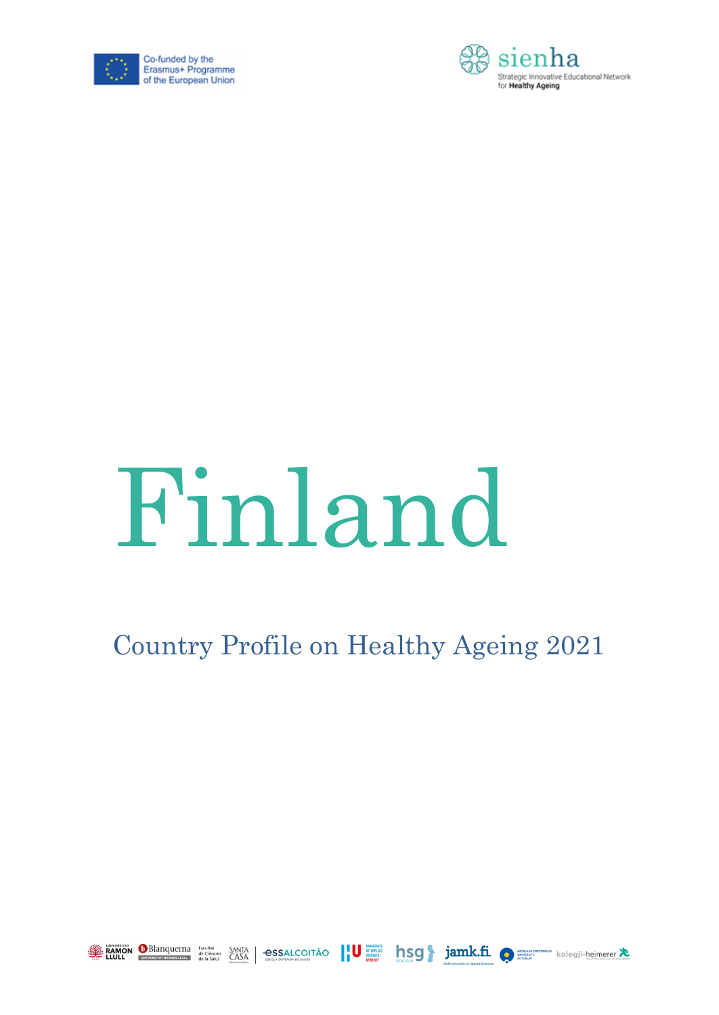



# Finland

## Country Profile on Healthy Ageing 2021



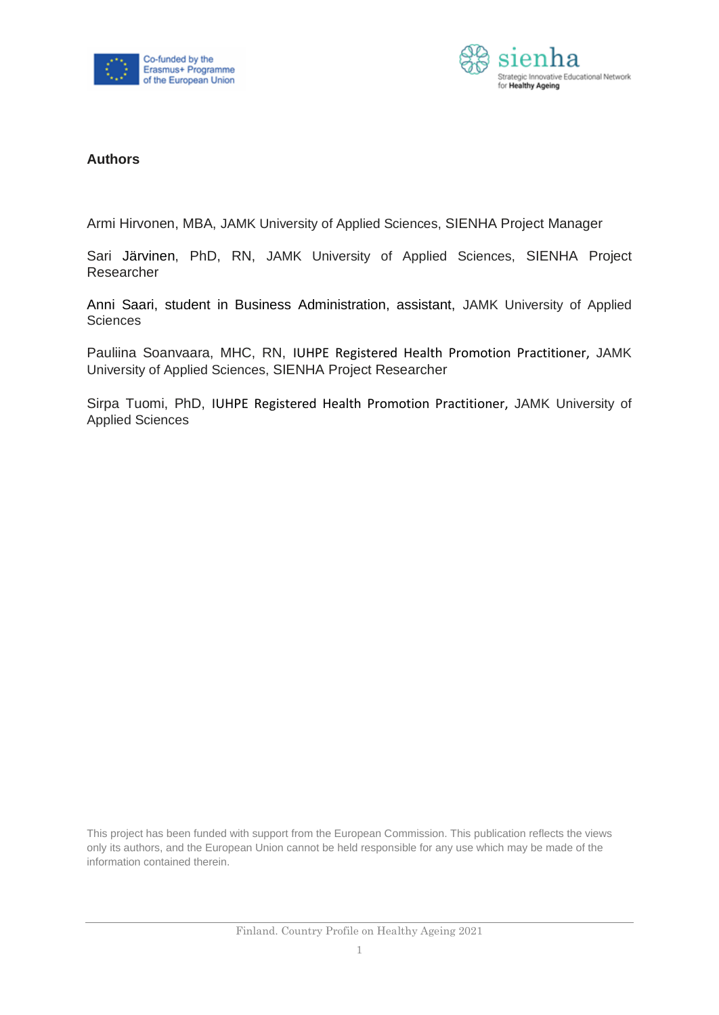



#### **Authors**

Armi Hirvonen, MBA, JAMK University of Applied Sciences, SIENHA Project Manager

Sari Järvinen, PhD, RN, JAMK University of Applied Sciences, SIENHA Project Researcher

Anni Saari, student in Business Administration, assistant, JAMK University of Applied **Sciences** 

Pauliina Soanvaara, MHC, RN, IUHPE Registered Health Promotion Practitioner, JAMK University of Applied Sciences, SIENHA Project Researcher

Sirpa Tuomi, PhD, IUHPE Registered Health Promotion Practitioner, JAMK University of Applied Sciences

This project has been funded with support from the European Commission. This publication reflects the views only its authors, and the European Union cannot be held responsible for any use which may be made of the information contained therein.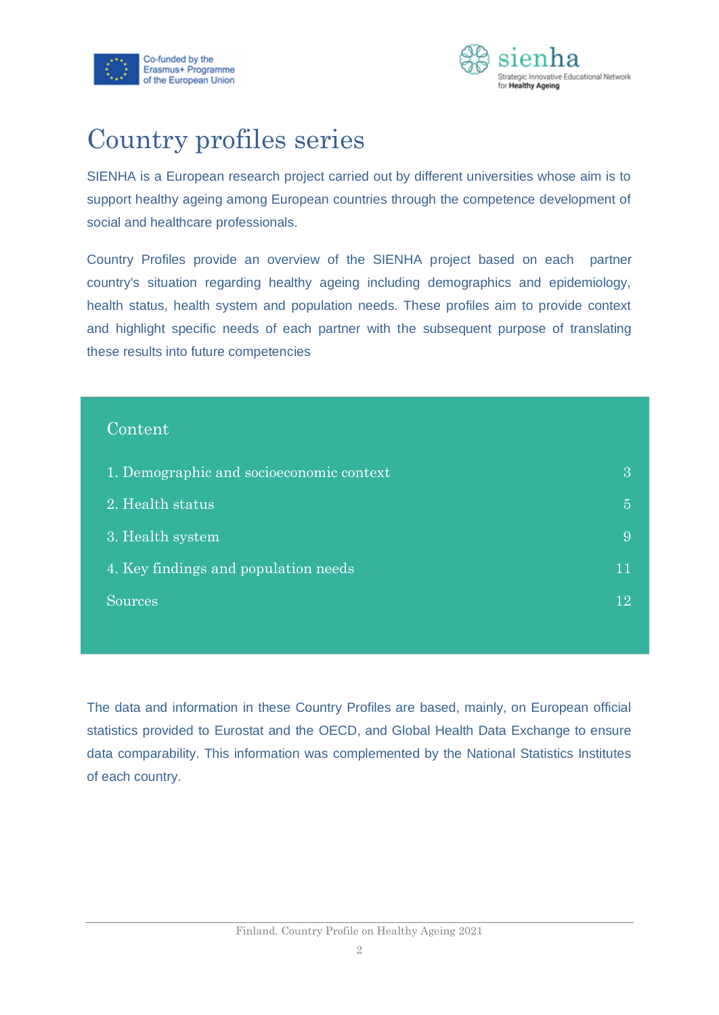



### Country profiles series

SIENHA is a European research project carried out by different universities whose aim is to support healthy ageing among European countries through the competence development of social and healthcare professionals.

Country Profiles provide an overview of the SIENHA project based on each partner country's situation regarding healthy ageing including demographics and epidemiology, health status, health system and population needs. These profiles aim to provide context and highlight specific needs of each partner with the subsequent purpose of translating these results into future competencies

#### Content

| 1. Demographic and socioeconomic context | З  |
|------------------------------------------|----|
| 2. Health status                         | 5  |
| 3. Health system                         | 9  |
| 4. Key findings and population needs     | 11 |
| <b>Sources</b>                           | 12 |

<span id="page-2-0"></span>The data and information in these Country Profiles are based, mainly, on European official statistics provided to Eurostat and the OECD, and Global Health Data Exchange to ensure data comparability. This information was complemented by the National Statistics Institutes of each country.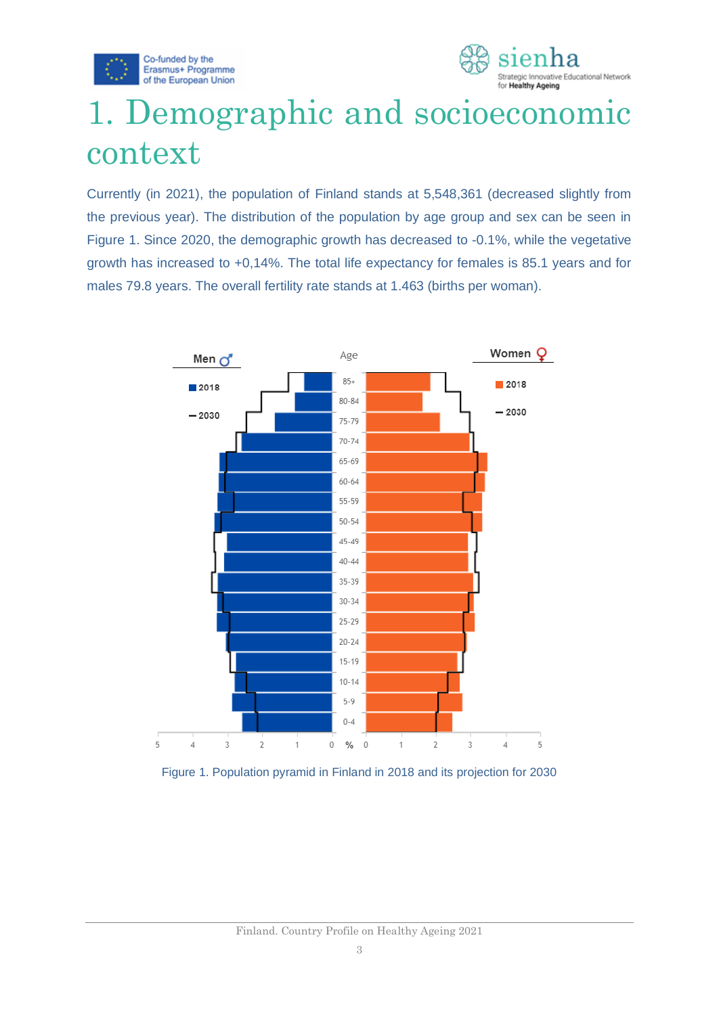



## 1. Demographic and socioeconomic context

Currently (in 2021), the population of Finland stands at 5,548,361 (decreased slightly from the previous year). The distribution of the population by age group and sex can be seen in Figure 1. Since 2020, the demographic growth has decreased to -0.1%, while the vegetative growth has increased to +0,14%. The total life expectancy for females is 85.1 years and for males 79.8 years. The overall fertility rate stands at 1.463 (births per woman).



Figure 1. Population pyramid in Finland in 2018 and its projection for 2030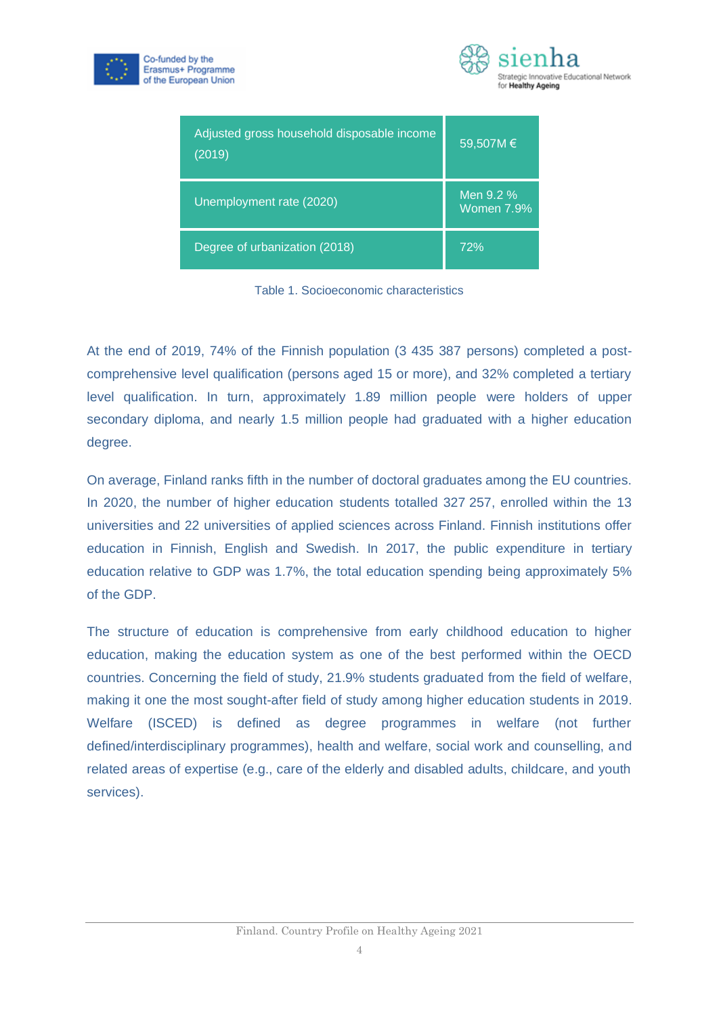



| Adjusted gross household disposable income<br>(2019) | 59,507M €               |
|------------------------------------------------------|-------------------------|
| Unemployment rate (2020)                             | Men 9.2 %<br>Women 7.9% |
| Degree of urbanization (2018)                        | 72%                     |

Table 1. Socioeconomic characteristics

At the end of 2019, 74% of the Finnish population (3 435 387 persons) completed a postcomprehensive level qualification (persons aged 15 or more), and 32% completed a tertiary level qualification. In turn, approximately 1.89 million people were holders of upper secondary diploma, and nearly 1.5 million people had graduated with a higher education degree.

On average, Finland ranks fifth in the number of doctoral graduates among the EU countries. In 2020, the number of higher education students totalled 327 257, enrolled within the 13 universities and 22 universities of applied sciences across Finland. Finnish institutions offer education in Finnish, English and Swedish. In 2017, the public expenditure in tertiary education relative to GDP was 1.7%, the total education spending being approximately 5% of the GDP.

The structure of education is comprehensive from early childhood education to higher education, making the education system as one of the best performed within the OECD countries. Concerning the field of study, 21.9% students graduated from the field of welfare, making it one the most sought-after field of study among higher education students in 2019. Welfare (ISCED) is defined as degree programmes in welfare (not further defined/interdisciplinary programmes), health and welfare, social work and counselling, and related areas of expertise (e.g., care of the elderly and disabled adults, childcare, and youth services).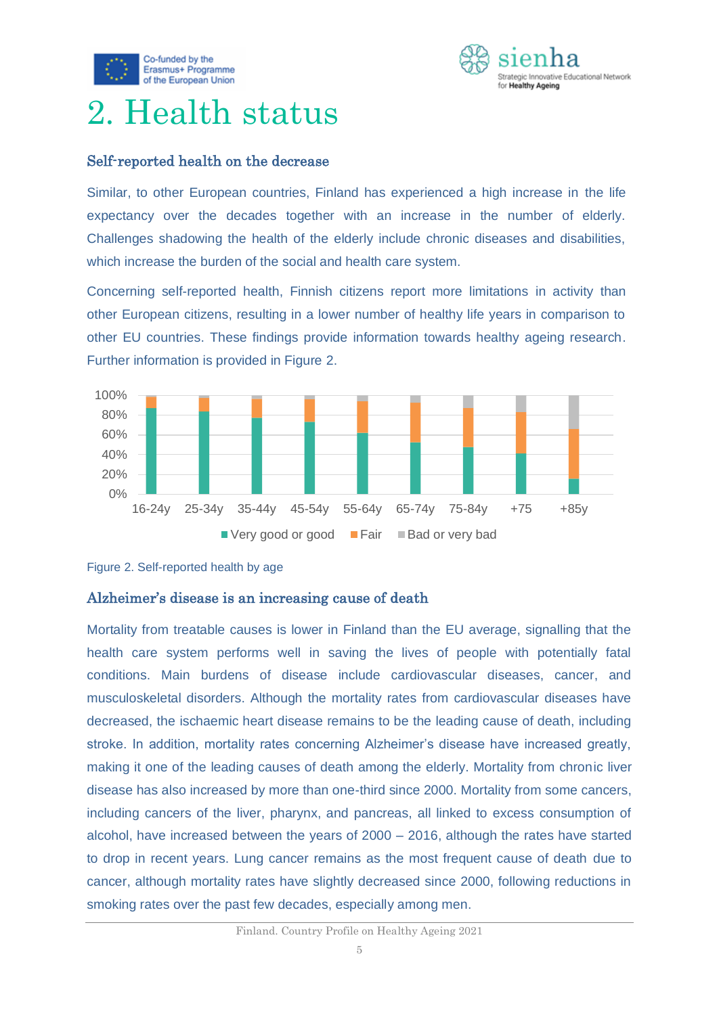



## <span id="page-5-0"></span>2. Health status

#### Self-reported health on the decrease

Similar, to other European countries, Finland has experienced a high increase in the life expectancy over the decades together with an increase in the number of elderly. Challenges shadowing the health of the elderly include chronic diseases and disabilities, which increase the burden of the social and health care system.

Concerning self-reported health, Finnish citizens report more limitations in activity than other European citizens, resulting in a lower number of healthy life years in comparison to other EU countries. These findings provide information towards healthy ageing research. Further information is provided in Figure 2.



Figure 2. Self-reported health by age

#### Alzheimer's disease is an increasing cause of death

Mortality from treatable causes is lower in Finland than the EU average, signalling that the health care system performs well in saving the lives of people with potentially fatal conditions. Main burdens of disease include cardiovascular diseases, cancer, and musculoskeletal disorders. Although the mortality rates from cardiovascular diseases have decreased, the ischaemic heart disease remains to be the leading cause of death, including stroke. In addition, mortality rates concerning Alzheimer's disease have increased greatly, making it one of the leading causes of death among the elderly. Mortality from chronic liver disease has also increased by more than one-third since 2000. Mortality from some cancers, including cancers of the liver, pharynx, and pancreas, all linked to excess consumption of alcohol, have increased between the years of 2000 – 2016, although the rates have started to drop in recent years. Lung cancer remains as the most frequent cause of death due to cancer, although mortality rates have slightly decreased since 2000, following reductions in smoking rates over the past few decades, especially among men.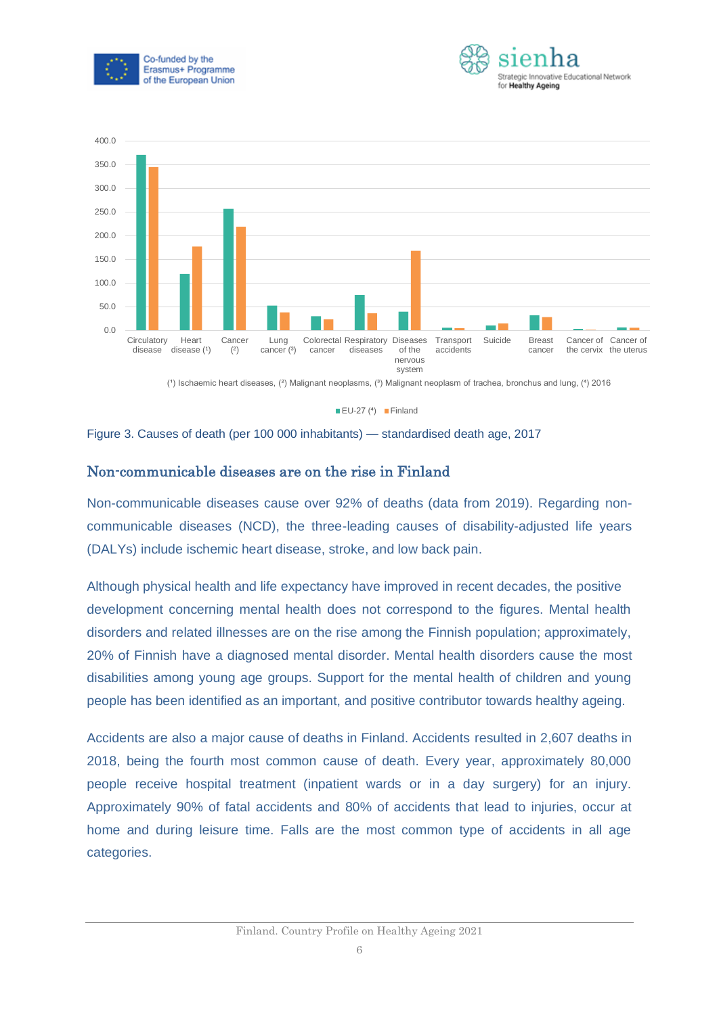





 $\blacksquare$  EU-27 (4)  $\blacksquare$  Finland

Figure 3. Causes of death (per 100 000 inhabitants) — standardised death age, 2017

#### Non-communicable diseases are on the rise in Finland

Non-communicable diseases cause over 92% of deaths (data from 2019). Regarding noncommunicable diseases (NCD), the three-leading causes of disability-adjusted life years (DALYs) include ischemic heart disease, stroke, and low back pain.

Although physical health and life expectancy have improved in recent decades, the positive development concerning mental health does not correspond to the figures. Mental health disorders and related illnesses are on the rise among the Finnish population; approximately, 20% of Finnish have a diagnosed mental disorder. Mental health disorders cause the most disabilities among young age groups. Support for the mental health of children and young people has been identified as an important, and positive contributor towards healthy ageing.

Accidents are also a major cause of deaths in Finland. Accidents resulted in 2,607 deaths in 2018, being the fourth most common cause of death. Every year, approximately 80,000 people receive hospital treatment (inpatient wards or in a day surgery) for an injury. Approximately 90% of fatal accidents and 80% of accidents that lead to injuries, occur at home and during leisure time. Falls are the most common type of accidents in all age categories.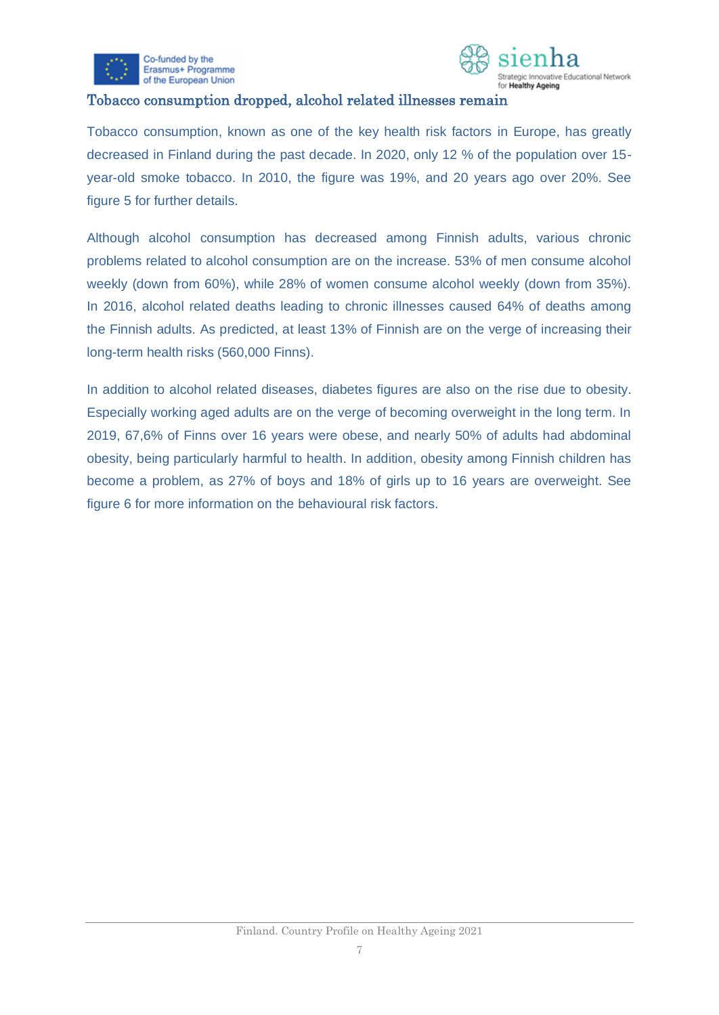

Co-funded by the Erasmus+ Programme of the European Union



#### Tobacco consumption dropped, alcohol related illnesses remain

Tobacco consumption, known as one of the key health risk factors in Europe, has greatly decreased in Finland during the past decade. In 2020, only 12 % of the population over 15 year-old smoke tobacco. In 2010, the figure was 19%, and 20 years ago over 20%. See figure 5 for further details.

Although alcohol consumption has decreased among Finnish adults, various chronic problems related to alcohol consumption are on the increase. 53% of men consume alcohol weekly (down from 60%), while 28% of women consume alcohol weekly (down from 35%). In 2016, alcohol related deaths leading to chronic illnesses caused 64% of deaths among the Finnish adults. As predicted, at least 13% of Finnish are on the verge of increasing their long-term health risks (560,000 Finns).

In addition to alcohol related diseases, diabetes figures are also on the rise due to obesity. Especially working aged adults are on the verge of becoming overweight in the long term. In 2019, 67,6% of Finns over 16 years were obese, and nearly 50% of adults had abdominal obesity, being particularly harmful to health. In addition, obesity among Finnish children has become a problem, as 27% of boys and 18% of girls up to 16 years are overweight. See figure 6 for more information on the behavioural risk factors.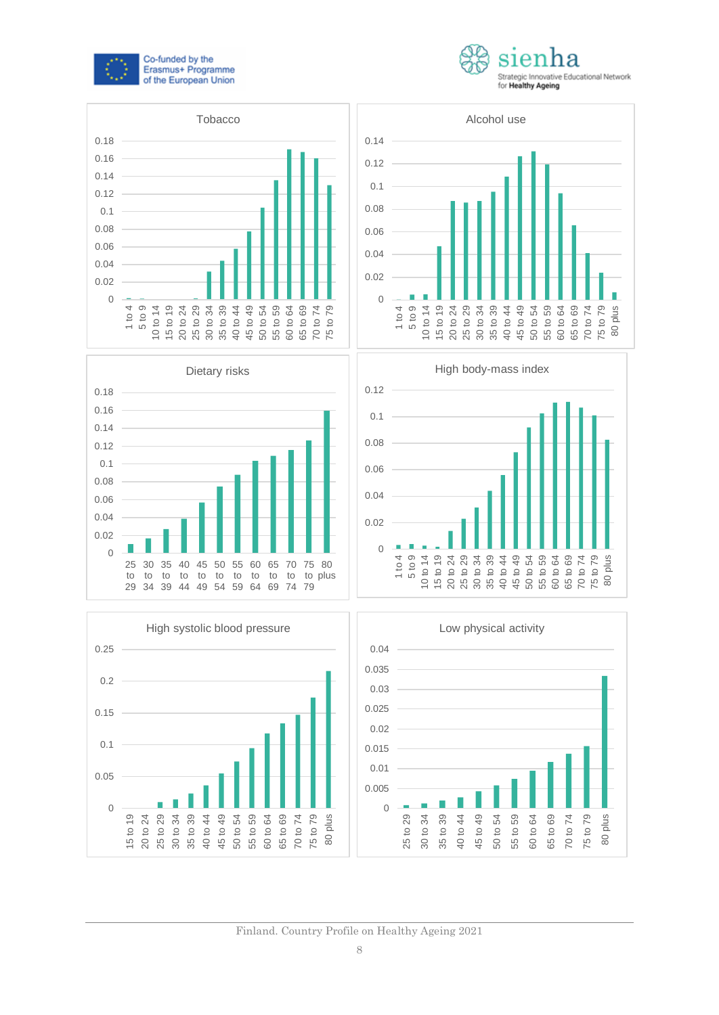













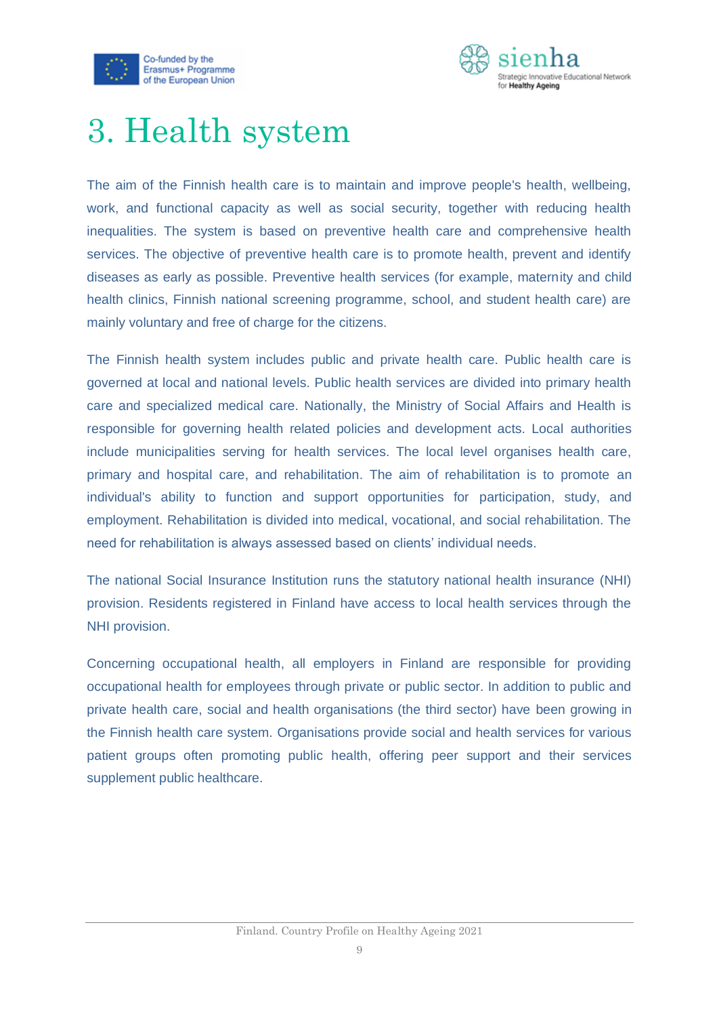



## <span id="page-9-0"></span>3. Health system

The aim of the Finnish health care is to maintain and improve people's health, wellbeing, work, and functional capacity as well as social security, together with reducing health inequalities. The system is based on preventive health care and comprehensive health services. The objective of preventive health care is to promote health, prevent and identify diseases as early as possible. Preventive health services (for example, maternity and child health clinics, Finnish national screening programme, school, and student health care) are mainly voluntary and free of charge for the citizens.

The Finnish health system includes public and private health care. Public health care is governed at local and national levels. Public health services are divided into primary health care and specialized medical care. Nationally, the Ministry of Social Affairs and Health is responsible for governing health related policies and development acts. Local authorities include municipalities serving for health services. The local level organises health care, primary and hospital care, and rehabilitation. The aim of rehabilitation is to promote an individual's ability to function and support opportunities for participation, study, and employment. Rehabilitation is divided into medical, vocational, and social rehabilitation. The need for rehabilitation is always assessed based on clients' individual needs.

The national Social Insurance Institution runs the statutory national health insurance (NHI) provision. Residents registered in Finland have access to local health services through the NHI provision.

Concerning occupational health, all employers in Finland are responsible for providing occupational health for employees through private or public sector. In addition to public and private health care, social and health organisations (the third sector) have been growing in the Finnish health care system. Organisations provide social and health services for various patient groups often promoting public health, offering peer support and their services supplement public healthcare.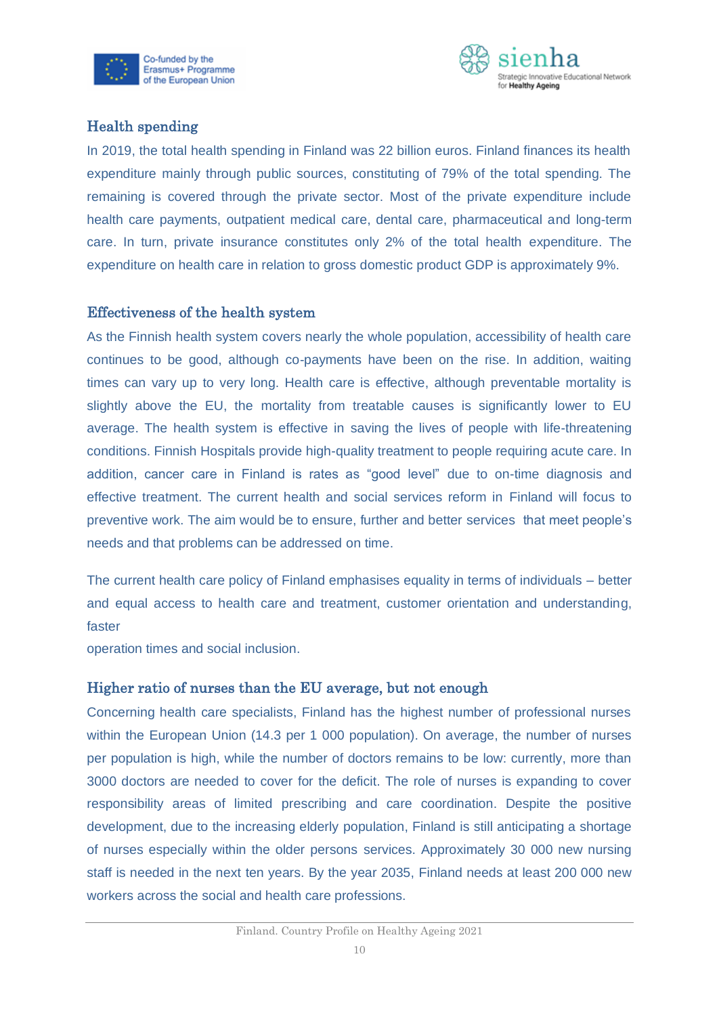



#### Health spending

In 2019, the total health spending in Finland was 22 billion euros. Finland finances its health expenditure mainly through public sources, constituting of 79% of the total spending. The remaining is covered through the private sector. Most of the private expenditure include health care payments, outpatient medical care, dental care, pharmaceutical and long-term care. In turn, private insurance constitutes only 2% of the total health expenditure. The expenditure on health care in relation to gross domestic product GDP is approximately 9%.

#### Effectiveness of the health system

As the Finnish health system covers nearly the whole population, accessibility of health care continues to be good, although co-payments have been on the rise. In addition, waiting times can vary up to very long. Health care is effective, although preventable mortality is slightly above the EU, the mortality from treatable causes is significantly lower to EU average. The health system is effective in saving the lives of people with life-threatening conditions. Finnish Hospitals provide high-quality treatment to people requiring acute care. In addition, cancer care in Finland is rates as "good level" due to on-time diagnosis and effective treatment. The current health and social services reform in Finland will focus to preventive work. The aim would be to ensure, further and better services that meet people's needs and that problems can be addressed on time.

The current health care policy of Finland emphasises equality in terms of individuals – better and equal access to health care and treatment, customer orientation and understanding, faster

operation times and social inclusion.

#### Higher ratio of nurses than the EU average, but not enough

Concerning health care specialists, Finland has the highest number of professional nurses within the European Union (14.3 per 1 000 population). On average, the number of nurses per population is high, while the number of doctors remains to be low: currently, more than 3000 doctors are needed to cover for the deficit. The role of nurses is expanding to cover responsibility areas of limited prescribing and care coordination. Despite the positive development, due to the increasing elderly population, Finland is still anticipating a shortage of nurses especially within the older persons services. Approximately 30 000 new nursing staff is needed in the next ten years. By the year 2035, Finland needs at least 200 000 new workers across the social and health care professions.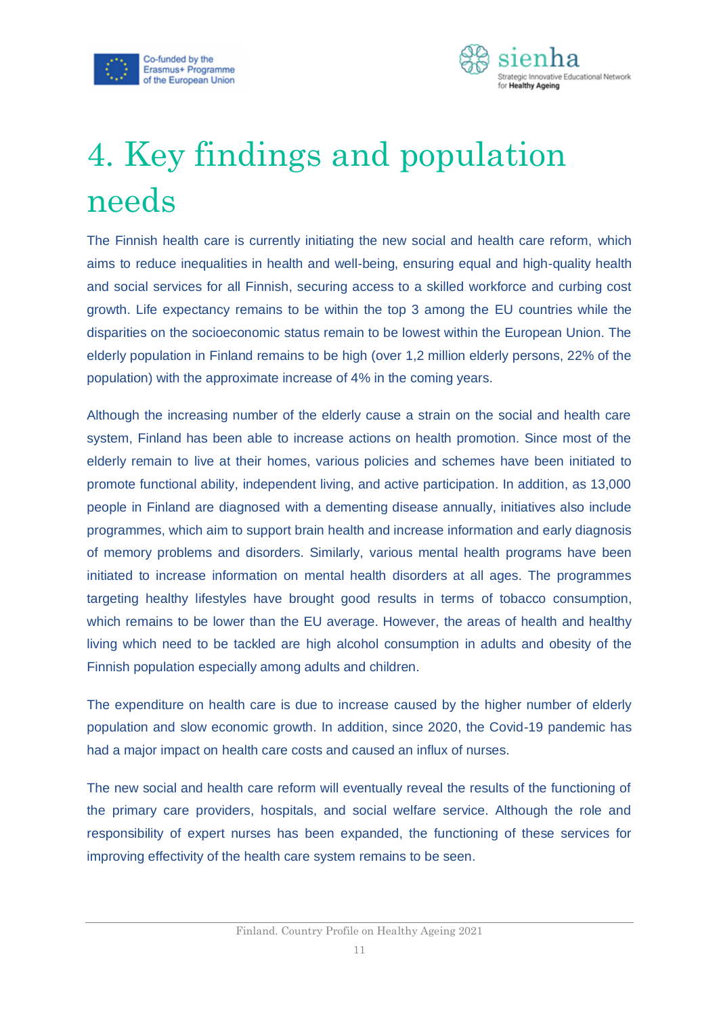



## <span id="page-11-0"></span>4. Key findings and population needs

The Finnish health care is currently initiating the new social and health care reform, which aims to reduce inequalities in health and well-being, ensuring equal and high-quality health and social services for all Finnish, securing access to a skilled workforce and curbing cost growth. Life expectancy remains to be within the top 3 among the EU countries while the disparities on the socioeconomic status remain to be lowest within the European Union. The elderly population in Finland remains to be high (over 1,2 million elderly persons, 22% of the population) with the approximate increase of 4% in the coming years.

Although the increasing number of the elderly cause a strain on the social and health care system, Finland has been able to increase actions on health promotion. Since most of the elderly remain to live at their homes, various policies and schemes have been initiated to promote functional ability, independent living, and active participation. In addition, as 13,000 people in Finland are diagnosed with a dementing disease annually, initiatives also include programmes, which aim to support brain health and increase information and early diagnosis of memory problems and disorders. Similarly, various mental health programs have been initiated to increase information on mental health disorders at all ages. The programmes targeting healthy lifestyles have brought good results in terms of tobacco consumption, which remains to be lower than the EU average. However, the areas of health and healthy living which need to be tackled are high alcohol consumption in adults and obesity of the Finnish population especially among adults and children.

The expenditure on health care is due to increase caused by the higher number of elderly population and slow economic growth. In addition, since 2020, the Covid-19 pandemic has had a major impact on health care costs and caused an influx of nurses.

The new social and health care reform will eventually reveal the results of the functioning of the primary care providers, hospitals, and social welfare service. Although the role and responsibility of expert nurses has been expanded, the functioning of these services for improving effectivity of the health care system remains to be seen.